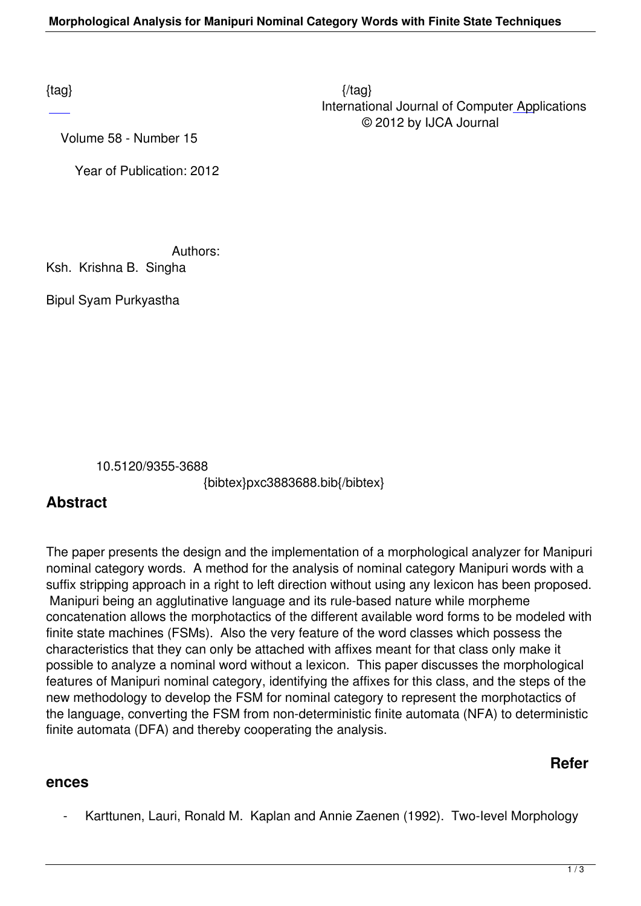Volume 58 - Number 15

Year of Publication: 2012

Authors:

Ksh. Krishna B. Singha

Bipul Syam Purkyastha

10.5120/9355-3688

{bibtex}pxc3883688.bib{/bibtex}

## **Abstract**

The paper presents the design and the implementation of a morphological analyzer for Manipuri nominal category words. A method for the analysis of nominal category Manipuri words with a suffix stripping approach in a right to left direction without using any lexicon has been proposed. Manipuri being an agglutinative language and its rule-based nature while morpheme concatenation allows the morphotactics of the different available word forms to be modeled with finite state machines (FSMs). Also the very feature of the word classes which possess the characteristics that they can only be attached with affixes meant for that class only make it possible to analyze a nominal word without a lexicon. This paper discusses the morphological features of Manipuri nominal category, identifying the affixes for this class, and the steps of the new methodology to develop the FSM for nominal category to represent the morphotactics of the language, converting the FSM from non-deterministic finite automata (NFA) to deterministic finite automata (DFA) and thereby cooperating the analysis.

## **Refer**

## **ences**

Karttunen, Lauri, Ronald M. Kaplan and Annie Zaenen (1992). Two-level Morphology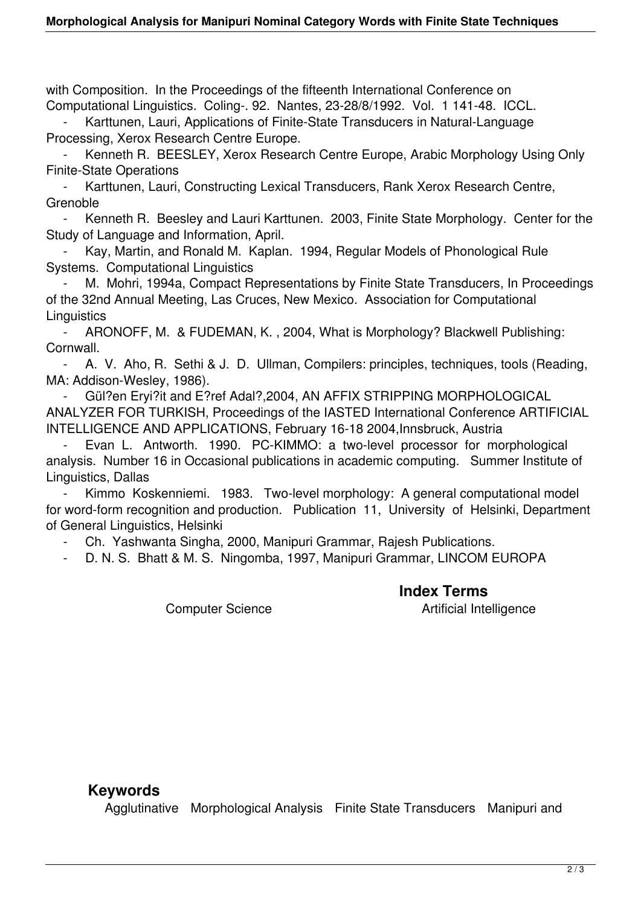with Composition. In the Proceedings of the fifteenth International Conference on Computational Linguistics. Coling-. 92. Nantes, 23-28/8/1992. Vol. 1 141-48. ICCL.

Karttunen, Lauri, Applications of Finite-State Transducers in Natural-Language Processing, Xerox Research Centre Europe.

 - Kenneth R. BEESLEY, Xerox Research Centre Europe, Arabic Morphology Using Only Finite-State Operations

 - Karttunen, Lauri, Constructing Lexical Transducers, Rank Xerox Research Centre, **Grenoble** 

Kenneth R. Beesley and Lauri Karttunen. 2003, Finite State Morphology. Center for the Study of Language and Information, April.

 - Kay, Martin, and Ronald M. Kaplan. 1994, Regular Models of Phonological Rule Systems. Computational Linguistics

M. Mohri, 1994a, Compact Representations by Finite State Transducers, In Proceedings of the 32nd Annual Meeting, Las Cruces, New Mexico. Association for Computational **Linguistics** 

 - ARONOFF, M. & FUDEMAN, K. , 2004, What is Morphology? Blackwell Publishing: Cornwall.

 - A. V. Aho, R. Sethi & J. D. Ullman, Compilers: principles, techniques, tools (Reading, MA: Addison-Wesley, 1986).

 - Gül?en Eryi?it and E?ref Adal?,2004, AN AFFIX STRIPPING MORPHOLOGICAL ANALYZER FOR TURKISH, Proceedings of the IASTED International Conference ARTIFICIAL INTELLIGENCE AND APPLICATIONS, February 16-18 2004,Innsbruck, Austria

Evan L. Antworth. 1990. PC-KIMMO: a two-level processor for morphological analysis. Number 16 in Occasional publications in academic computing. Summer Institute of Linguistics, Dallas

Kimmo Koskenniemi. 1983. Two-level morphology: A general computational model for word-form recognition and production. Publication 11, University of Helsinki, Department of General Linguistics, Helsinki

- Ch. Yashwanta Singha, 2000, Manipuri Grammar, Rajesh Publications.

- D. N. S. Bhatt & M. S. Ningomba, 1997, Manipuri Grammar, LINCOM EUROPA

 **Index Terms**  Computer Science **Artificial Intelligence** 

## **Keywords**

Agglutinative Morphological Analysis Finite State Transducers Manipuri and